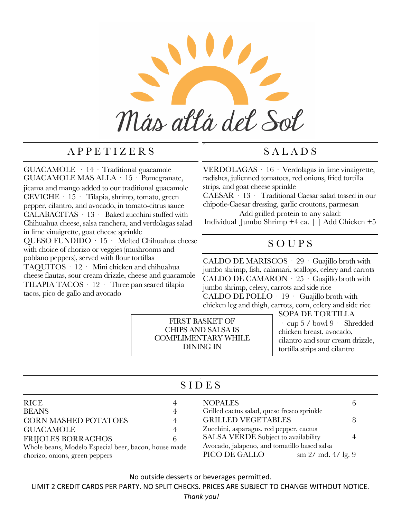

\\

## A P P E T I Z E R S

GUACAMOLE · 14 · Traditional guacamole GUACAMOLE MAS ALLA · 15 · Pomegranate, jicama and mango added to our traditional guacamole CEVICHE · 15 · Tilapia, shrimp, tomato, green pepper, cilantro, and avocado, in tomato-citrus sauce CALABACITAS · 13 · Baked zucchini stuffed with Chihuahua cheese, salsa ranchera, and verdolagas salad in lime vinaigrette, goat cheese sprinkle QUESO FUNDIDO · 15 · Melted Chihuahua cheese with choice of chorizo or veggies (mushrooms and poblano peppers), served with flour tortillas TAQUITOS · 12 · Mini chicken and chihuahua cheese flautas, sour cream drizzle, cheese and guacamole TILAPIA TACOS · 12 · Three pan seared tilapia tacos, pico de gallo and avocado

# S A L A D S

VERDOLAGAS · 16 · Verdolagas in lime vinaigrette, radishes, julienned tomatoes, red onions, fried tortilla strips, and goat cheese sprinkle

CAESAR · 13 · Traditional Caesar salad tossed in our chipotle-Caesar dressing, garlic croutons, parmesan

Add grilled protein to any salad: Individual Jumbo Shrimp +4 ea. | | Add Chicken +5

### S O U P S

CALDO DE MARISCOS · 29 · Guajillo broth with jumbo shrimp, fish, calamari, scallops, celery and carrots CALDO DE CAMARON · 25 · Guajillo broth with jumbo shrimp, celery, carrots and side rice

CALDO DE POLLO · 19 · Guajillo broth with chicken leg and thigh, carrots, corn, celery and side rice

FIRST BASKET OF CHIPS AND SALSA IS COMPLIMENTARY WHILE DINING IN

SOPA DE TORTILLA · cup 5 / bowl 9 · Shredded chicken breast, avocado, cilantro and sour cream drizzle, tortilla strips and cilantro

### S I D E S

| RICE                                                 |   | <b>NOPALES</b>                               |  |  |
|------------------------------------------------------|---|----------------------------------------------|--|--|
| <b>BEANS</b>                                         | 4 | Grilled cactus salad, queso fresco sprinkle  |  |  |
| <b>CORN MASHED POTATOES</b>                          |   | <b>GRILLED VEGETABLES</b>                    |  |  |
| <b>GUACAMOLE</b>                                     | 4 | Zucchini, asparagus, red pepper, cactus      |  |  |
| <b>FRIJOLES BORRACHOS</b>                            |   | SALSA VERDE Subject to availability          |  |  |
| Whole beans, Modelo Especial beer, bacon, house made |   | Avocado, jalapeno, and tomatillo based salsa |  |  |
| chorizo, onions, green peppers                       |   | PICO DE GALLO<br>sm $2/$ md. $4/$ lg. 9      |  |  |

No outside desserts or beverages permitted.

LIMIT 2 CREDIT CARDS PER PARTY. NO SPLIT CHECKS. PRICES ARE SUBJECT TO CHANGE WITHOUT NOTICE.

*Thank you!*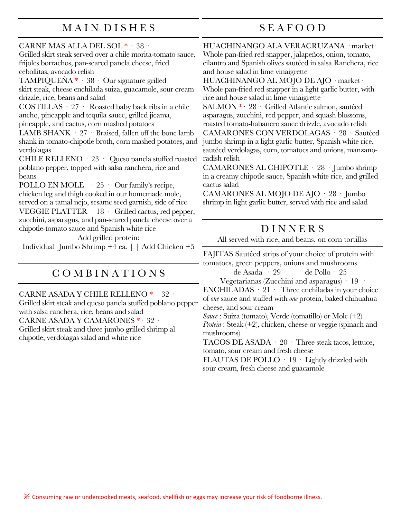## M A I N D I S H E S

## S E A F O O D

CARNE MAS ALLA DEL SOL \* · 38 ·

Grilled skirt steak served over a chile morita-tomato sauce, frijoles borrachos, pan-seared panela cheese, fried cebollitas, avocado relish

TAMPIQUEÑA \* · 38 · Our signature grilled skirt steak, cheese enchilada suiza, guacamole, sour cream drizzle, rice, beans and salad

COSTILLAS · 27 · Roasted baby back ribs in a chile ancho, pineapple and tequila sauce, grilled jicama, pineapple, and cactus, corn mashed potatoes

LAMB SHANK · 27 · Braised, fallen off the bone lamb shank in tomato-chipotle broth, corn mashed potatoes, and verdolagas

CHILE RELLENO · 23 · Queso panela stuffed roasted poblano pepper, topped with salsa ranchera, rice and beans

POLLO EN MOLE  $\cdot$  25  $\cdot$  Our family's recipe, chicken leg and thigh cooked in our homemade mole, served on a tamal nejo, sesame seed garnish, side of rice

VEGGIE PLATTER · 18 · Grilled cactus, red pepper, zucchini, asparagus, and pan-seared panela cheese over a chipotle-tomato sauce and Spanish white rice

Add grilled protein:

Individual Jumbo Shrimp +4 ea. | | Add Chicken +5

# C O M B I N A T I O N S

CARNE ASADA Y CHILE RELLENO \* · 32 ·

Grilled skirt steak and queso panela stuffed poblano pepper with salsa ranchera, rice, beans and salad CARNE ASADA Y CAMARONES \*· 32 · Grilled skirt steak and three jumbo grilled shrimp al chipotle, verdolagas salad and white rice

HUACHINANGO ALA VERACRUZANA · market· Whole pan-fried red snapper, jalapeños, onion, tomato, cilantro and Spanish olives sautéed in salsa Ranchera, rice and house salad in lime vinaigrette

HUACHINANGO AL MOJO DE AJO · market· Whole pan-fried red snapper in a light garlic butter, with rice and house salad in lime vinaigrette

SALMON \*· 28 · Grilled Atlantic salmon, sautéed asparagus, zucchini, red pepper, and squash blossoms, roasted tomato-habanero sauce drizzle, avocado relish

CAMARONES CON VERDOLAGAS · 28 · Sautéed jumbo shrimp in a light garlic butter, Spanish white rice, sautéed verdolagas, corn, tomatoes and onions, manzanoradish relish

CAMARONES AL CHIPOTLE · 28 · Jumbo shrimp in a creamy chipotle sauce, Spanish white rice, and grilled cactus salad

CAMARONES AL MOJO DE AJO · 28 · Jumbo shrimp in light garlic butter, served with rice and salad

### D I N N E R S

All served with rice, and beans, on corn tortillas

FAJITAS Sautéed strips of your choice of protein with tomatoes, green peppers, onions and mushrooms

de Asada · 29 · de Pollo · 25 ·

Vegetarianas (Zucchini and asparagus) · 19 ·

 $ENCHILADAS \cdot 21$  Three enchiladas in your choice of *one* sauce and stuffed with *one* protein, baked chihuahua cheese, and sour cream

*Sauce* : Suiza (tomato), Verde (tomatillo) or Mole (+2) *Protein* : Steak (+2), chicken, cheese or veggie (spinach and mushrooms)

TACOS DE ASADA  $\cdot$  20  $\cdot$  Three steak tacos, lettuce, tomato, sour cream and fresh cheese

FLAUTAS DE POLLO · 19 · Lightly drizzled with sour cream, fresh cheese and guacamole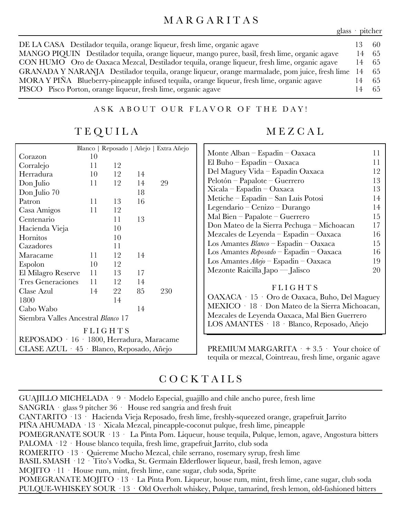#### M A R G A R I T A S

glass · pitcher

| DE LA CASA Destilador tequila, orange liqueur, fresh lime, organic agave                         | -60   |
|--------------------------------------------------------------------------------------------------|-------|
| MANGO PIQUIN Destilador tequila, orange liqueur, mango puree, basil, fresh lime, organic agave   | 14 65 |
| CON HUMO Oro de Oaxaca Mezcal, Destilador tequila, orange liqueur, fresh lime, organic agave     | 14 65 |
| GRANADA Y NARANJA Destilador tequila, orange liqueur, orange marmalade, pom juice, fresh lime 14 | - 65  |
| MORA Y PIÑA Blueberry-pineapple infused tequila, orange liqueur, fresh lime, organic agave       | -65   |
| PISCO Pisco Porton, orange liqueur, fresh lime, organic agave                                    | 14 65 |

#### ASK ABOUT OUR FLAVOR OF THE DAY!

T E Q U I L A

|                                           |    |                |    | Blanco   Reposado   Añejo   Extra Añejo |  |
|-------------------------------------------|----|----------------|----|-----------------------------------------|--|
| Corazon                                   | 10 |                |    |                                         |  |
| Corralejo                                 | 11 | 12             |    |                                         |  |
| Herradura                                 | 10 | 12             | 14 |                                         |  |
| Don Julio                                 | 11 | 12             | 14 | 29                                      |  |
| Don Julio 70                              |    |                | 18 |                                         |  |
| Patron                                    | 11 | 13             | 16 |                                         |  |
| Casa Amigos                               | 11 | 12             |    |                                         |  |
| Centenario                                |    | 11             | 13 |                                         |  |
| Hacienda Vieja                            |    | 10             |    |                                         |  |
| Hornitos                                  |    | 10             |    |                                         |  |
| Cazadores                                 |    | 11             |    |                                         |  |
| Maracame                                  | 11 | 12             | 14 |                                         |  |
| Espolon                                   | 10 | 12             |    |                                         |  |
| El Milagro Reserve                        | 11 | 13             | 17 |                                         |  |
| <b>Tres Generaciones</b>                  | 11 | 12             | 14 |                                         |  |
| Clase Azul                                | 14 | 22             | 85 | 230                                     |  |
| 1800                                      |    | 14             |    |                                         |  |
| Cabo Wabo                                 |    |                | 14 |                                         |  |
| Siembra Valles Ancestral <i>Blanco</i> 17 |    |                |    |                                         |  |
|                                           |    | <b>FLIGHTS</b> |    |                                         |  |
| REPOSADO · 16 · 1800, Herradura, Maracame |    |                |    |                                         |  |
| CLASE AZUL · 45 · Blanco, Reposado, Añejo |    |                |    |                                         |  |

#### M E Z C A L

| Monte Alban – Espadin – Oaxaca                     | 11 |
|----------------------------------------------------|----|
| El Buho $-$ Espadin $-$ Oaxaca                     | 11 |
| Del Maguey Vida – Espadin Oaxaca                   | 12 |
| $Pelotón - Papalote - Guerrero$                    | 13 |
| $Xicala-Espadin-Oaxaca$                            | 13 |
| Metiche – Espadin – San Luis Potosi                | 14 |
| Legendario – Cenizo – Durango                      | 14 |
| Mal Bien $-$ Papalote $-$ Guerrero                 | 15 |
| Don Mateo de la Sierra Pechuga – Michoacan         | 17 |
| Mezcales de Leyenda – Espadin – Oaxaca             | 16 |
| Los Amantes $Blanco$ – Espadin – Oaxaca            | 15 |
| Los Amantes $\mathit{Reposado}$ - Espadin - Oaxaca | 16 |
| Los Amantes $A\tilde{n}ejo$ – Espadin – Oaxaca     | 19 |
| Mezonte Raicilla Japo — Jalisco                    | 20 |
|                                                    |    |

#### **FLIGHTS**

OAXACA · 15 · Oro de Oaxaca, Buho, Del Maguey MEXICO · 18 · Don Mateo de la Sierra Michoacan, Mezcales de Leyenda Oaxaca, Mal Bien Guerrero LOS AMANTES · 18 · Blanco, Reposado, Añejo

PREMIUM MARGARITA  $\cdot$  + 3.5  $\cdot$  Your choice of tequila or mezcal, Cointreau, fresh lime, organic agave

### C O C K T A I L S

GUAJILLO MICHELADA  $\cdot$  9  $\cdot$  Modelo Especial, guajillo and chile ancho puree, fresh lime SANGRIA · glass 9 pitcher 36 · House red sangria and fresh fruit CANTARITO · 13 · Hacienda Vieja Reposado, fresh lime, freshly-squeezed orange, grapefruit Jarrito PIÑA AHUMADA · 13 · Xicala Mezcal, pineapple-coconut pulque, fresh lime, pineapple POMEGRANATE SOUR · 13 · La Pinta Pom. Liqueur, house tequila, Pulque, lemon, agave, Angostura bitters PALOMA · 12 · House blanco tequila, fresh lime, grapefruit Jarrito, club soda ROMERITO · 13 · Quiereme Mucho Mezcal, chile serrano, rosemary syrup, fresh lime BASIL SMASH · 12 · Tito's Vodka, St. Germain Elderflower liqueur, basil, fresh lemon, agave MOJITO · 11 · House rum, mint, fresh lime, cane sugar, club soda, Sprite POMEGRANATE MOJITO · 13 · La Pinta Pom. Liqueur, house rum, mint, fresh lime, cane sugar, club soda PULQUE-WHISKEY SOUR · 13 · Old Overholt whiskey, Pulque, tamarind, fresh lemon, old-fashioned bitters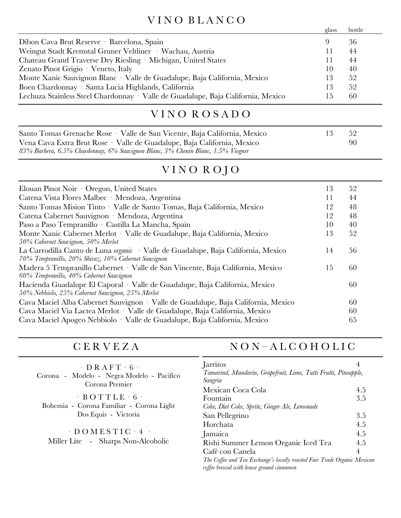# V I N O B L A N C O

|                                                                                  | glass   | bottle |
|----------------------------------------------------------------------------------|---------|--------|
| Dibon Cava Brut Reserve · Barcelona, Spain                                       | 9       | 36     |
| Weingut Stadt Kremstal Gruner Veltliner · Wachau, Austria                        | $\perp$ | 44     |
| Chateau Grand Traverse Dry Riesling · Michigan, United States                    | Ħ       | 44     |
| Zenato Pinot Grigio · Veneto, Italy                                              | 10      | 40     |
| Monte Xanic Sauvignon Blanc · Valle de Guadalupe, Baja California, Mexico        | 13      | 52     |
| Boen Chardonnay · Santa Lucia Highlands, California                              | 13      | 52     |
| Lechuza Stainless Steel Chardonnay · Valle de Guadalupe, Baja California, Mexico | L 5     | 60     |

# V I N O R O S A D O

| Santo Tomas Grenache Rose · Valle de San Vicente, Baja California, Mexico       | -52 |
|---------------------------------------------------------------------------------|-----|
| Vena Cava Extra Brut Rose · Valle de Guadalupe, Baja California, Mexico         | 90  |
| 83% Barbera, 6.5% Chardonnay, 6% Sauvignon Blanc, 3% Chenin Blanc, 1.5% Viogner |     |

# VINO ROJO

| Elouan Pinot Noir Oregon, United States                                                  | 13 | 52 |
|------------------------------------------------------------------------------------------|----|----|
| Catena Vista Flores Malbec · Mendoza, Argentina                                          | 11 | 44 |
| Santo Tomas Mision Tinto · Valle de Santo Tomas, Baja California, Mexico                 | 12 | 48 |
| Catena Cabernet Sauvignon · Mendoza, Argentina                                           | 12 | 48 |
| Paso a Paso Tempranillo · Castilla La Mancha, Spain                                      | 10 | 40 |
| Monte Xanic Cabernet Merlot · Valle de Guadalupe, Baja California, Mexico                | 13 | 52 |
| 50% Cabernet Sauvignon, 50% Merlot                                                       |    |    |
| La Carrodilla Canto de Luna <i>organic</i> · Valle de Guadalupe, Baja California, Mexico | 14 | 56 |
| 70% Tempranillo, 20% Shiraz, 10% Cabernet Sauvignon                                      |    |    |
| Madera 5 Tempranillo Cabernet · Valle de San Vincente, Baja California, Mexico           | 15 | 60 |
| 60% Tempranillo, 40% Cabernet Sauvignon                                                  |    |    |
| Hacienda Guadalupe El Caporal · Valle de Guadalupe, Baja California, Mexico              |    | 60 |
| 50% Nebbiolo, 25% Cabernet Sauvignon, 25% Merlot                                         |    |    |
| Cava Maciel Alba Cabernet Sauvignon · Valle de Guadalupe, Baja California, Mexico        |    | 60 |
| Cava Maciel Via Lactea Merlot · Valle de Guadalupe, Baja California, Mexico              |    | 60 |
| Cava Maciel Apogeo Nebbiolo · Valle de Guadalupe, Baja California, Mexico                |    | 65 |
|                                                                                          |    |    |

# N O N – A L C O H O L I C

| $\cdot$ DRAFT $\cdot$ 6 $\cdot$<br>Corona - Modelo - Negra Modelo - Pacifico<br>Corona Premier | Jarritos<br>Tamarind, Mandarin, Grapefruit, Lime, Tutti Frutti, Pineapple,<br>Sangria                                | 4   |
|------------------------------------------------------------------------------------------------|----------------------------------------------------------------------------------------------------------------------|-----|
|                                                                                                | Mexican Coca Cola                                                                                                    | 4.5 |
| $-BOTTLE - 6$                                                                                  | Fountain                                                                                                             | 3.5 |
| Bohemia - Corona Familiar - Corona Light                                                       | Coke, Diet Coke, Sprite, Ginger Ale, Lemonade                                                                        |     |
| Dos Equis - Victoria                                                                           | San Pellegrino                                                                                                       | 3.5 |
| $\cdot$ DOMESTIC $\cdot$ 4 $\cdot$<br>Miller Lite - Sharps Non-Alcoholic                       | Horchata                                                                                                             | 4.5 |
|                                                                                                | Jamaica                                                                                                              | 4.5 |
|                                                                                                | Rishi Summer Lemon Organic Iced Tea                                                                                  | 4.5 |
|                                                                                                | Café con Canela                                                                                                      | 4   |
|                                                                                                | The Coffee and Tea Exchange's locally roasted Fair Trade Organic Mexican<br>coffee brewed with house ground cinnamon |     |